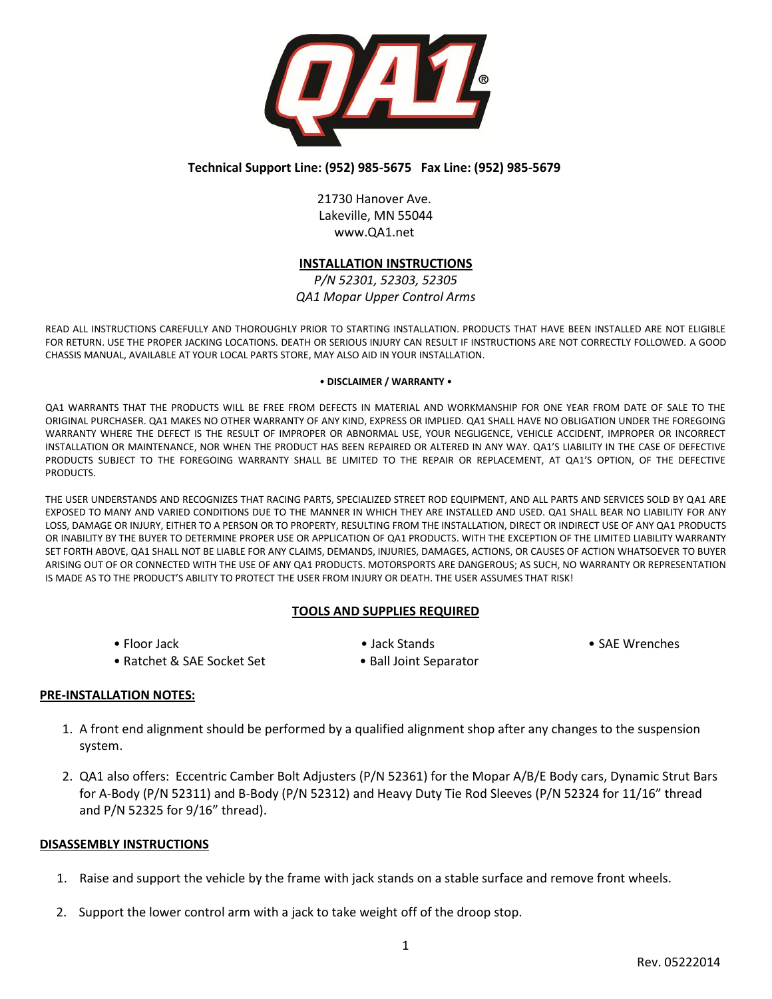

# **Technical Support Line: (952) 985-5675 Fax Line: (952) 985-5679**

21730 Hanover Ave. Lakeville, MN 55044 www.QA1.net

# **INSTALLATION INSTRUCTIONS**

*P/N 52301, 52303, 52305 QA1 Mopar Upper Control Arms*

READ ALL INSTRUCTIONS CAREFULLY AND THOROUGHLY PRIOR TO STARTING INSTALLATION. PRODUCTS THAT HAVE BEEN INSTALLED ARE NOT ELIGIBLE FOR RETURN. USE THE PROPER JACKING LOCATIONS. DEATH OR SERIOUS INJURY CAN RESULT IF INSTRUCTIONS ARE NOT CORRECTLY FOLLOWED. A GOOD CHASSIS MANUAL, AVAILABLE AT YOUR LOCAL PARTS STORE, MAY ALSO AID IN YOUR INSTALLATION.

#### • **DISCLAIMER / WARRANTY** •

QA1 WARRANTS THAT THE PRODUCTS WILL BE FREE FROM DEFECTS IN MATERIAL AND WORKMANSHIP FOR ONE YEAR FROM DATE OF SALE TO THE ORIGINAL PURCHASER. QA1 MAKES NO OTHER WARRANTY OF ANY KIND, EXPRESS OR IMPLIED. QA1 SHALL HAVE NO OBLIGATION UNDER THE FOREGOING WARRANTY WHERE THE DEFECT IS THE RESULT OF IMPROPER OR ABNORMAL USE, YOUR NEGLIGENCE, VEHICLE ACCIDENT, IMPROPER OR INCORRECT INSTALLATION OR MAINTENANCE, NOR WHEN THE PRODUCT HAS BEEN REPAIRED OR ALTERED IN ANY WAY. QA1'S LIABILITY IN THE CASE OF DEFECTIVE PRODUCTS SUBJECT TO THE FOREGOING WARRANTY SHALL BE LIMITED TO THE REPAIR OR REPLACEMENT, AT QA1'S OPTION, OF THE DEFECTIVE PRODUCTS.

THE USER UNDERSTANDS AND RECOGNIZES THAT RACING PARTS, SPECIALIZED STREET ROD EQUIPMENT, AND ALL PARTS AND SERVICES SOLD BY QA1 ARE EXPOSED TO MANY AND VARIED CONDITIONS DUE TO THE MANNER IN WHICH THEY ARE INSTALLED AND USED. QA1 SHALL BEAR NO LIABILITY FOR ANY LOSS, DAMAGE OR INJURY, EITHER TO A PERSON OR TO PROPERTY, RESULTING FROM THE INSTALLATION, DIRECT OR INDIRECT USE OF ANY QA1 PRODUCTS OR INABILITY BY THE BUYER TO DETERMINE PROPER USE OR APPLICATION OF QA1 PRODUCTS. WITH THE EXCEPTION OF THE LIMITED LIABILITY WARRANTY SET FORTH ABOVE, QA1 SHALL NOT BE LIABLE FOR ANY CLAIMS, DEMANDS, INJURIES, DAMAGES, ACTIONS, OR CAUSES OF ACTION WHATSOEVER TO BUYER ARISING OUT OF OR CONNECTED WITH THE USE OF ANY QA1 PRODUCTS. MOTORSPORTS ARE DANGEROUS; AS SUCH, NO WARRANTY OR REPRESENTATION IS MADE AS TO THE PRODUCT'S ABILITY TO PROTECT THE USER FROM INJURY OR DEATH. THE USER ASSUMES THAT RISK!

### **TOOLS AND SUPPLIES REQUIRED**

- 
- Ratchet & SAE Socket Set Ball Joint Separator
- Floor Jack Jack Stands Jack Stands SAE Wrenches

### **PRE-INSTALLATION NOTES:**

- 1. A front end alignment should be performed by a qualified alignment shop after any changes to the suspension system.
- 2. QA1 also offers: Eccentric Camber Bolt Adjusters (P/N 52361) for the Mopar A/B/E Body cars, Dynamic Strut Bars for A-Body (P/N 52311) and B-Body (P/N 52312) and Heavy Duty Tie Rod Sleeves (P/N 52324 for 11/16" thread and P/N 52325 for 9/16" thread).

### **DISASSEMBLY INSTRUCTIONS**

- 1. Raise and support the vehicle by the frame with jack stands on a stable surface and remove front wheels.
- 2. Support the lower control arm with a jack to take weight off of the droop stop.